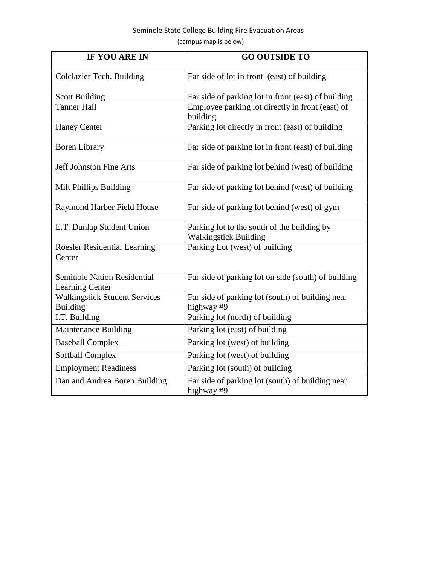## Seminole State College Building Fire Evacuation Areas (campus map is below)

| <b>IF YOU ARE IN</b>                                    | <b>GO OUTSIDE TO</b>                                                        |
|---------------------------------------------------------|-----------------------------------------------------------------------------|
| Colclazier Tech. Building                               | Far side of lot in front (east) of building                                 |
| <b>Scott Building</b>                                   | Far side of parking lot in front (east) of building                         |
| <b>Tanner Hall</b>                                      | Employee parking lot directly in front (east) of<br>building                |
| <b>Haney Center</b>                                     | Parking lot directly in front (east) of building                            |
| <b>Boren Library</b>                                    | Far side of parking lot in front (east) of building                         |
| Jeff Johnston Fine Arts                                 | Far side of parking lot behind (west) of building                           |
| Milt Phillips Building                                  | Far side of parking lot behind (west) of building                           |
| Raymond Harber Field House                              | Far side of parking lot behind (west) of gym                                |
| E.T. Dunlap Student Union                               | Parking lot to the south of the building by<br><b>Walkingstick Building</b> |
| <b>Roesler Residential Learning</b><br>Center           | Parking Lot (west) of building                                              |
| <b>Seminole Nation Residential</b><br>Learning Center   | Far side of parking lot on side (south) of building                         |
| <b>Walkingstick Student Services</b><br><b>Building</b> | Far side of parking lot (south) of building near<br>highway #9              |
| I.T. Building                                           | Parking lot (north) of building                                             |
| Maintenance Building                                    | Parking lot (east) of building                                              |
| <b>Baseball Complex</b>                                 | Parking lot (west) of building                                              |
| <b>Softball Complex</b>                                 | Parking lot (west) of building                                              |
| <b>Employment Readiness</b>                             | Parking lot (south) of building                                             |
| Dan and Andrea Boren Building                           | Far side of parking lot (south) of building near<br>highway #9              |